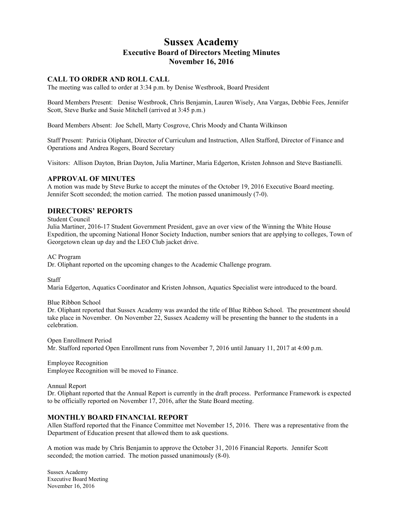# **Sussex Academy Executive Board of Directors Meeting Minutes November 16, 2016**

#### **CALL TO ORDER AND ROLL CALL**

The meeting was called to order at 3:34 p.m. by Denise Westbrook, Board President

Board Members Present: Denise Westbrook, Chris Benjamin, Lauren Wisely, Ana Vargas, Debbie Fees, Jennifer Scott, Steve Burke and Susie Mitchell (arrived at 3:45 p.m.)

Board Members Absent: Joe Schell, Marty Cosgrove, Chris Moody and Chanta Wilkinson

Staff Present: Patricia Oliphant, Director of Curriculum and Instruction, Allen Stafford, Director of Finance and Operations and Andrea Rogers, Board Secretary

Visitors: Allison Dayton, Brian Dayton, Julia Martiner, Maria Edgerton, Kristen Johnson and Steve Bastianelli.

#### **APPROVAL OF MINUTES**

A motion was made by Steve Burke to accept the minutes of the October 19, 2016 Executive Board meeting. Jennifer Scott seconded; the motion carried. The motion passed unanimously (7-0).

### **DIRECTORS' REPORTS**

Student Council

Julia Martiner, 2016-17 Student Government President, gave an over view of the Winning the White House Expedition, the upcoming National Honor Society Induction, number seniors that are applying to colleges, Town of Georgetown clean up day and the LEO Club jacket drive.

AC Program

Dr. Oliphant reported on the upcoming changes to the Academic Challenge program.

**Staff** 

Maria Edgerton, Aquatics Coordinator and Kristen Johnson, Aquatics Specialist were introduced to the board.

Blue Ribbon School

Dr. Oliphant reported that Sussex Academy was awarded the title of Blue Ribbon School. The presentment should take place in November. On November 22, Sussex Academy will be presenting the banner to the students in a celebration.

Open Enrollment Period Mr. Stafford reported Open Enrollment runs from November 7, 2016 until January 11, 2017 at 4:00 p.m.

Employee Recognition Employee Recognition will be moved to Finance.

Annual Report

Dr. Oliphant reported that the Annual Report is currently in the draft process. Performance Framework is expected to be officially reported on November 17, 2016, after the State Board meeting.

#### **MONTHLY BOARD FINANCIAL REPORT**

Allen Stafford reported that the Finance Committee met November 15, 2016. There was a representative from the Department of Education present that allowed them to ask questions.

A motion was made by Chris Benjamin to approve the October 31, 2016 Financial Reports. Jennifer Scott seconded; the motion carried. The motion passed unanimously (8-0).

Sussex Academy Executive Board Meeting November 16, 2016